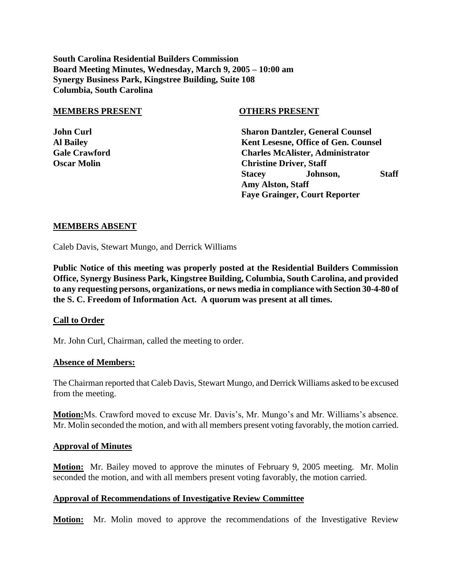**South Carolina Residential Builders Commission Board Meeting Minutes, Wednesday, March 9, 2005 – 10:00 am Synergy Business Park, Kingstree Building, Suite 108 Columbia, South Carolina**

#### **MEMBERS PRESENT OTHERS PRESENT**

**John Curl Sharon Dantzler, General Counsel Al Bailey Kent Lesesne, Office of Gen. Counsel Gale Crawford Charles McAlister, Administrator Oscar Molin** Christine Driver, Staff **Stacey Johnson, Staff Amy Alston, Staff Faye Grainger, Court Reporter**

## **MEMBERS ABSENT**

Caleb Davis, Stewart Mungo, and Derrick Williams

**Public Notice of this meeting was properly posted at the Residential Builders Commission Office, Synergy Business Park, Kingstree Building, Columbia, South Carolina, and provided to any requesting persons, organizations, or news media in compliance with Section 30-4-80 of the S. C. Freedom of Information Act. A quorum was present at all times.**

# **Call to Order**

Mr. John Curl, Chairman, called the meeting to order.

## **Absence of Members:**

The Chairman reported that Caleb Davis, Stewart Mungo, and Derrick Williams asked to be excused from the meeting.

**Motion:**Ms. Crawford moved to excuse Mr. Davis's, Mr. Mungo's and Mr. Williams's absence. Mr. Molin seconded the motion, and with all members present voting favorably, the motion carried.

### **Approval of Minutes**

**Motion:** Mr. Bailey moved to approve the minutes of February 9, 2005 meeting. Mr. Molin seconded the motion, and with all members present voting favorably, the motion carried.

# **Approval of Recommendations of Investigative Review Committee**

**Motion:** Mr. Molin moved to approve the recommendations of the Investigative Review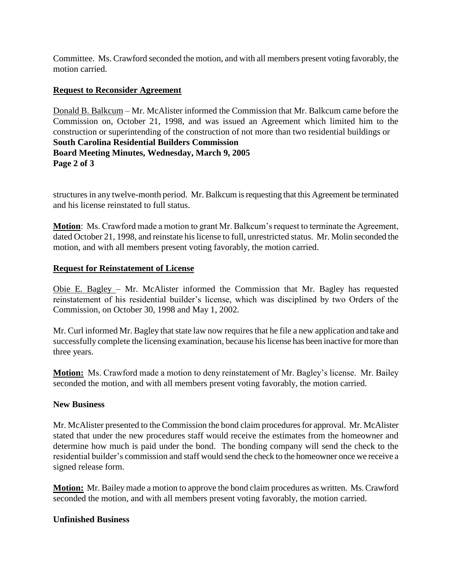Committee. Ms. Crawford seconded the motion, and with all members present voting favorably, the motion carried.

# **Request to Reconsider Agreement**

Donald B. Balkcum – Mr. McAlister informed the Commission that Mr. Balkcum came before the Commission on, October 21, 1998, and was issued an Agreement which limited him to the construction or superintending of the construction of not more than two residential buildings or **South Carolina Residential Builders Commission Board Meeting Minutes, Wednesday, March 9, 2005 Page 2 of 3**

structures in any twelve-month period. Mr. Balkcum is requesting that this Agreement be terminated and his license reinstated to full status.

**Motion**: Ms. Crawford made a motion to grant Mr. Balkcum's request to terminate the Agreement, dated October 21, 1998, and reinstate his license to full, unrestricted status. Mr. Molin seconded the motion, and with all members present voting favorably, the motion carried.

# **Request for Reinstatement of License**

Obie E. Bagley – Mr. McAlister informed the Commission that Mr. Bagley has requested reinstatement of his residential builder's license, which was disciplined by two Orders of the Commission, on October 30, 1998 and May 1, 2002.

Mr. Curl informed Mr. Bagley that state law now requires that he file a new application and take and successfully complete the licensing examination, because his license has been inactive for more than three years.

**Motion:** Ms. Crawford made a motion to deny reinstatement of Mr. Bagley's license. Mr. Bailey seconded the motion, and with all members present voting favorably, the motion carried.

# **New Business**

Mr. McAlister presented to the Commission the bond claim procedures for approval. Mr. McAlister stated that under the new procedures staff would receive the estimates from the homeowner and determine how much is paid under the bond. The bonding company will send the check to the residential builder's commission and staff would send the check to the homeowner once we receive a signed release form.

**Motion:** Mr. Bailey made a motion to approve the bond claim procedures as written. Ms. Crawford seconded the motion, and with all members present voting favorably, the motion carried.

# **Unfinished Business**